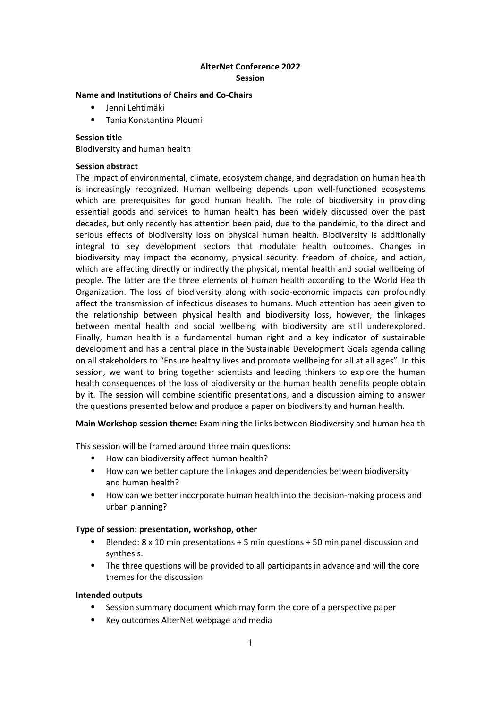# AlterNet Conference 2022 Session

#### Name and Institutions of Chairs and Co-Chairs

- ⦁ Jenni Lehtimäki
- ⦁ Tania Konstantina Ploumi

### Session title

Biodiversity and human health

#### Session abstract

The impact of environmental, climate, ecosystem change, and degradation on human health is increasingly recognized. Human wellbeing depends upon well-functioned ecosystems which are prerequisites for good human health. The role of biodiversity in providing essential goods and services to human health has been widely discussed over the past decades, but only recently has attention been paid, due to the pandemic, to the direct and serious effects of biodiversity loss on physical human health. Biodiversity is additionally integral to key development sectors that modulate health outcomes. Changes in biodiversity may impact the economy, physical security, freedom of choice, and action, which are affecting directly or indirectly the physical, mental health and social wellbeing of people. The latter are the three elements of human health according to the World Health Organization. The loss of biodiversity along with socio-economic impacts can profoundly affect the transmission of infectious diseases to humans. Much attention has been given to the relationship between physical health and biodiversity loss, however, the linkages between mental health and social wellbeing with biodiversity are still underexplored. Finally, human health is a fundamental human right and a key indicator of sustainable development and has a central place in the Sustainable Development Goals agenda calling on all stakeholders to "Ensure healthy lives and promote wellbeing for all at all ages". In this session, we want to bring together scientists and leading thinkers to explore the human health consequences of the loss of biodiversity or the human health benefits people obtain by it. The session will combine scientific presentations, and a discussion aiming to answer the questions presented below and produce a paper on biodiversity and human health.

Main Workshop session theme: Examining the links between Biodiversity and human health

This session will be framed around three main questions:

- How can biodiversity affect human health?
- ⦁ How can we better capture the linkages and dependencies between biodiversity and human health?
- ⦁ How can we better incorporate human health into the decision-making process and urban planning?

## Type of session: presentation, workshop, other

- ⦁ Blended: 8 x 10 min presentations + 5 min questions + 50 min panel discussion and synthesis.
- ⦁ The three questions will be provided to all participants in advance and will the core themes for the discussion

## Intended outputs

- Session summary document which may form the core of a perspective paper
- ⦁ Key outcomes AlterNet webpage and media